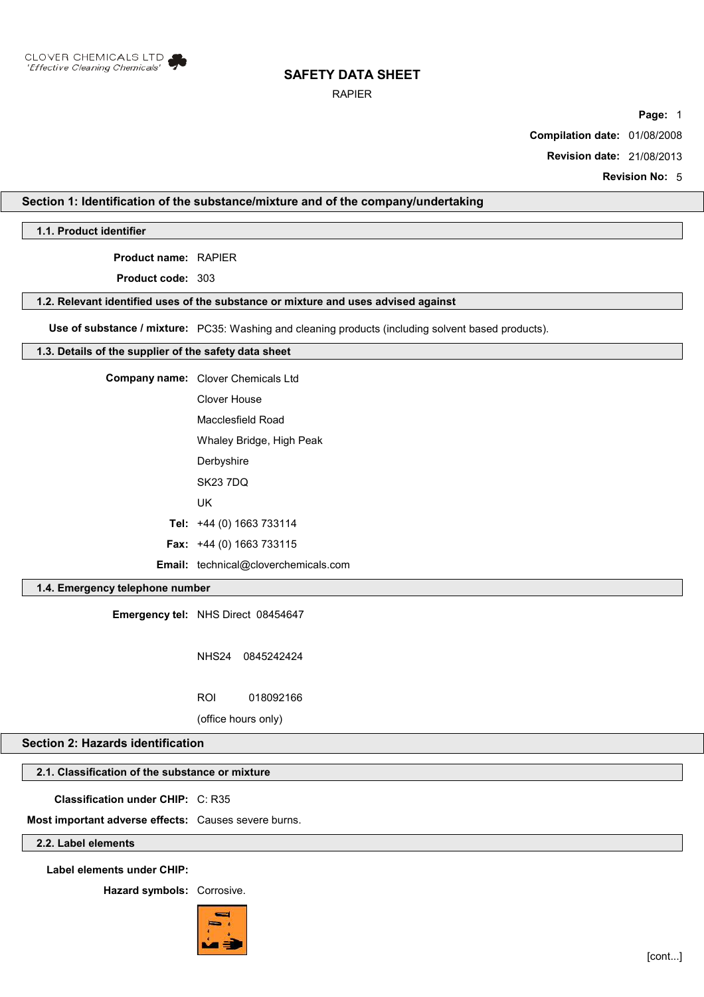

## RAPIER

**Page:** 1

**Compilation date:** 01/08/2008

**Revision date:** 21/08/2013

**Revision No:** 5

## **Section 1: Identification of the substance/mixture and of the company/undertaking**

**1.1. Product identifier**

**Product name:** RAPIER

**Product code:** 303

#### **1.2. Relevant identified uses of the substance or mixture and uses advised against**

**Use of substance / mixture:** PC35: Washing and cleaning products (including solvent based products).

## **1.3. Details of the supplier of the safety data sheet**

| <b>Company name:</b> Clover Chemicals Ltd   |
|---------------------------------------------|
| Clover House                                |
| Macclesfield Road                           |
| Whaley Bridge, High Peak                    |
| Derbyshire                                  |
| <b>SK23 7DQ</b>                             |
| UK                                          |
| Tel: $+44$ (0) 1663 733114                  |
| Fax: +44 (0) 1663 733115                    |
| <b>Email:</b> technical@cloverchemicals.com |

## **1.4. Emergency telephone number**

**Emergency tel:** NHS Direct 08454647

NHS24 0845242424

ROI 018092166

(office hours only)

# **Section 2: Hazards identification**

# **2.1. Classification of the substance or mixture**

**Classification under CHIP:** C: R35

**Most important adverse effects:** Causes severe burns.

## **2.2. Label elements**

**Label elements under CHIP:**

**Hazard symbols:** Corrosive.

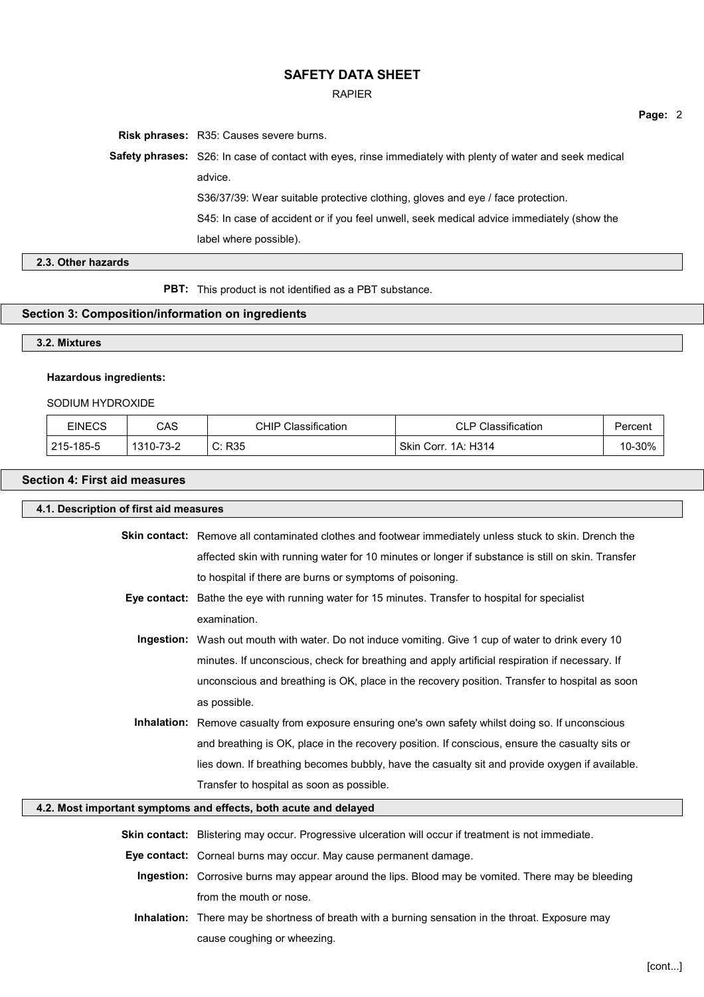#### RAPIER

**Page:** 2

**Risk phrases:** R35: Causes severe burns. **Safety phrases:** S26: In case of contact with eyes, rinse immediately with plenty of water and seek medical advice. S36/37/39: Wear suitable protective clothing, gloves and eye / face protection. S45: In case of accident or if you feel unwell, seek medical advice immediately (show the label where possible).

## **2.3. Other hazards**

**PBT:** This product is not identified as a PBT substance.

# **Section 3: Composition/information on ingredients**

# **3.2. Mixtures**

## **Hazardous ingredients:**

## SODIUM HYDROXIDE

| EINECS    | CAS       | Classification<br>CHIP | <b>CLP Classification</b> | Percent |
|-----------|-----------|------------------------|---------------------------|---------|
| 215-185-5 | 1310-73-2 | C: R35                 | . Skin Corr. 1A: H314     | 10-30%  |

# **Section 4: First aid measures**

| 4.1. Description of first aid measures |                                                                                                            |        |  |
|----------------------------------------|------------------------------------------------------------------------------------------------------------|--------|--|
|                                        | Skin contact: Remove all contaminated clothes and footwear immediately unless stuck to skin. Drench the    |        |  |
|                                        | affected skin with running water for 10 minutes or longer if substance is still on skin. Transfer          |        |  |
|                                        | to hospital if there are burns or symptoms of poisoning.                                                   |        |  |
|                                        | Eye contact: Bathe the eye with running water for 15 minutes. Transfer to hospital for specialist          |        |  |
|                                        | examination.                                                                                               |        |  |
|                                        | Ingestion: Wash out mouth with water. Do not induce vomiting. Give 1 cup of water to drink every 10        |        |  |
|                                        | minutes. If unconscious, check for breathing and apply artificial respiration if necessary. If             |        |  |
|                                        | unconscious and breathing is OK, place in the recovery position. Transfer to hospital as soon              |        |  |
|                                        | as possible.                                                                                               |        |  |
|                                        | <b>Inhalation:</b> Remove casualty from exposure ensuring one's own safety whilst doing so. If unconscious |        |  |
|                                        | and breathing is OK, place in the recovery position. If conscious, ensure the casualty sits or             |        |  |
|                                        | lies down. If breathing becomes bubbly, have the casualty sit and provide oxygen if available.             |        |  |
|                                        | Transfer to hospital as soon as possible.                                                                  |        |  |
|                                        | 4.2. Most important symptoms and effects, both acute and delayed                                           |        |  |
|                                        | Skin contact: Blistering may occur. Progressive ulceration will occur if treatment is not immediate.       |        |  |
|                                        | Eye contact: Corneal burns may occur. May cause permanent damage.                                          |        |  |
|                                        | Ingestion: Corrosive burns may appear around the lips. Blood may be vomited. There may be bleeding         |        |  |
|                                        | from the mouth or nose.                                                                                    |        |  |
|                                        | Inhalation: There may be shortness of breath with a burning sensation in the throat. Exposure may          |        |  |
|                                        | cause coughing or wheezing.                                                                                |        |  |
|                                        |                                                                                                            |        |  |
|                                        |                                                                                                            | [cont] |  |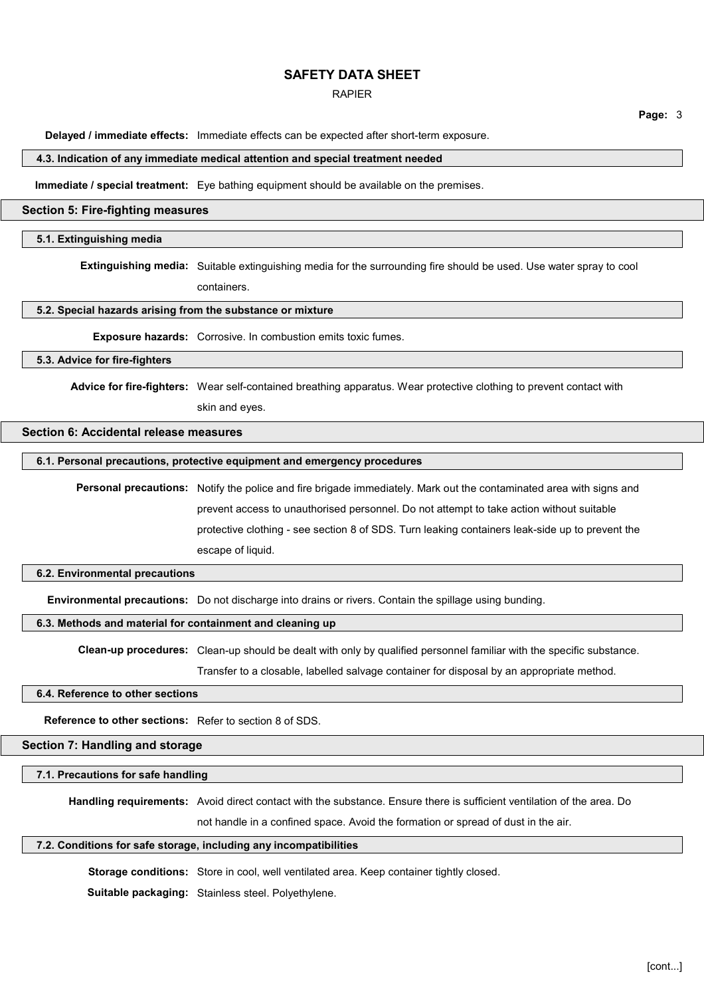### RAPIER

**Page:** 3

**Delayed / immediate effects:** Immediate effects can be expected after short-term exposure.

#### **4.3. Indication of any immediate medical attention and special treatment needed**

**Immediate / special treatment:** Eye bathing equipment should be available on the premises.

#### **Section 5: Fire-fighting measures**

## **5.1. Extinguishing media**

**Extinguishing media:** Suitable extinguishing media for the surrounding fire should be used. Use water spray to cool containers.

**5.2. Special hazards arising from the substance or mixture**

**Exposure hazards:** Corrosive. In combustion emits toxic fumes.

## **5.3. Advice for fire-fighters**

**Advice for fire-fighters:** Wear self-contained breathing apparatus. Wear protective clothing to prevent contact with

skin and eyes.

## **Section 6: Accidental release measures**

#### **6.1. Personal precautions, protective equipment and emergency procedures**

**Personal precautions:** Notify the police and fire brigade immediately. Mark out the contaminated area with signs and prevent access to unauthorised personnel. Do not attempt to take action without suitable protective clothing - see section 8 of SDS. Turn leaking containers leak-side up to prevent the escape of liquid.

#### **6.2. Environmental precautions**

**Environmental precautions:** Do not discharge into drains or rivers. Contain the spillage using bunding.

## **6.3. Methods and material for containment and cleaning up**

**Clean-up procedures:** Clean-up should be dealt with only by qualified personnel familiar with the specific substance.

Transfer to a closable, labelled salvage container for disposal by an appropriate method.

## **6.4. Reference to other sections**

**Reference to other sections:** Refer to section 8 of SDS.

**Section 7: Handling and storage**

#### **7.1. Precautions for safe handling**

**Handling requirements:** Avoid direct contact with the substance. Ensure there is sufficient ventilation of the area. Do

not handle in a confined space. Avoid the formation or spread of dust in the air.

#### **7.2. Conditions for safe storage, including any incompatibilities**

**Storage conditions:** Store in cool, well ventilated area. Keep container tightly closed.

**Suitable packaging:** Stainless steel. Polyethylene.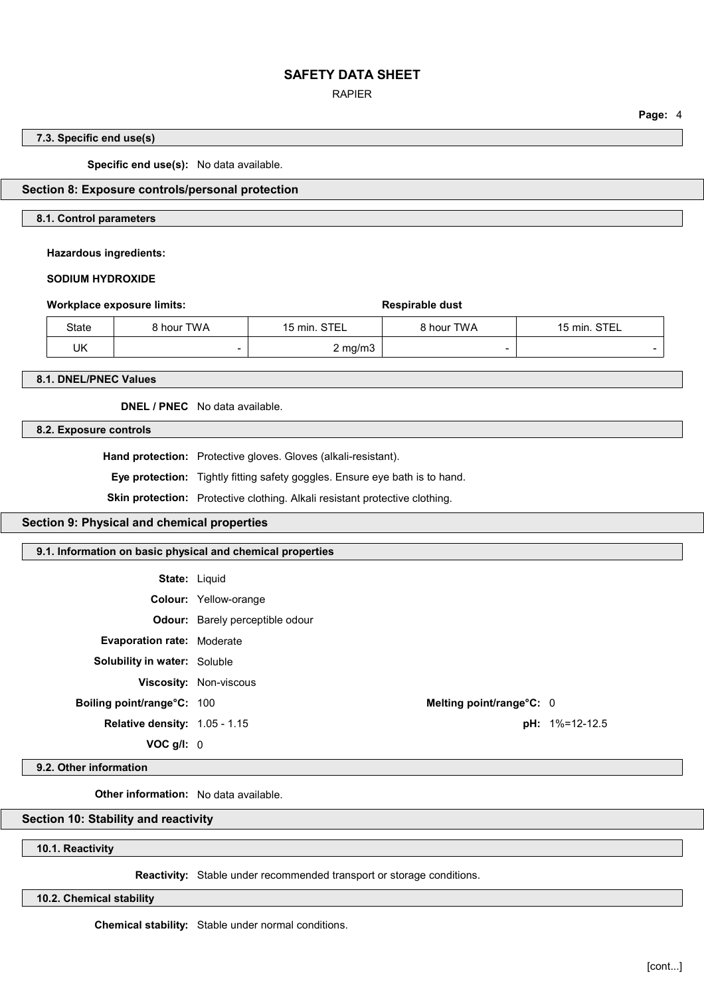## RAPIER

# **Page:** 4

## **7.3. Specific end use(s)**

**Specific end use(s):** No data available.

## **Section 8: Exposure controls/personal protection**

## **8.1. Control parameters**

**Hazardous ingredients:**

## **SODIUM HYDROXIDE**

| Workplace exposure limits: |       | Respirable dust |              |            |              |
|----------------------------|-------|-----------------|--------------|------------|--------------|
|                            | State | 8 hour TWA      | 15 min. STEL | 8 hour TWA | 15 min. STEL |
|                            | UK    |                 | $2$ mg/m $3$ |            | -            |

**8.1. DNEL/PNEC Values**

**DNEL / PNEC** No data available.

**8.2. Exposure controls**

**Hand protection:** Protective gloves. Gloves (alkali-resistant).

**Eye protection:** Tightly fitting safety goggles. Ensure eye bath is to hand.

**Skin protection:** Protective clothing. Alkali resistant protective clothing.

## **Section 9: Physical and chemical properties**

#### **9.1. Information on basic physical and chemical properties**

**State:** Liquid

| Colour: | Yellow-orange |
|---------|---------------|
|---------|---------------|

**Odour:** Barely perceptible odour

**Evaporation rate:** Moderate

**Solubility in water:** Soluble

**Viscosity:** Non-viscous

**Relative density:** 1.05 - 1.15 **pH:** 1%=12-12.5

**VOC g/l:** 0

**Boiling point/range°C:** 100 **Melting point/range°C:** 0

#### **9.2. Other information**

**Other information:** No data available.

## **Section 10: Stability and reactivity**

**10.1. Reactivity**

**Reactivity:** Stable under recommended transport or storage conditions.

## **10.2. Chemical stability**

**Chemical stability:** Stable under normal conditions.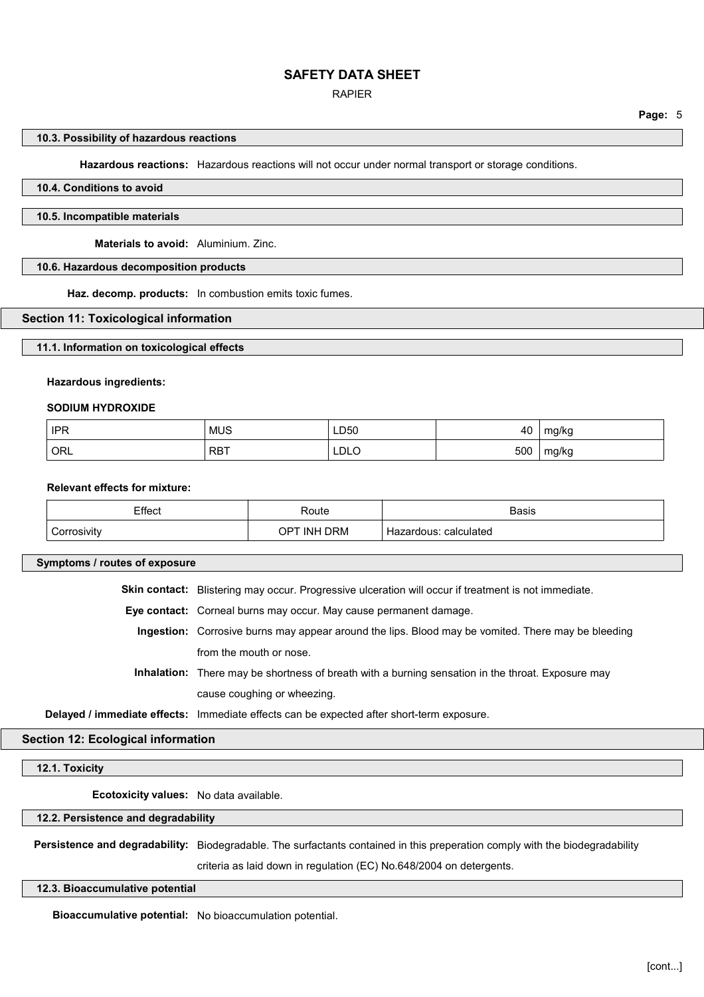## RAPIER

#### **10.3. Possibility of hazardous reactions**

**Hazardous reactions:** Hazardous reactions will not occur under normal transport or storage conditions.

## **10.4. Conditions to avoid**

#### **10.5. Incompatible materials**

**Materials to avoid:** Aluminium. Zinc.

## **10.6. Hazardous decomposition products**

**Haz. decomp. products:** In combustion emits toxic fumes.

#### **Section 11: Toxicological information**

#### **11.1. Information on toxicological effects**

#### **Hazardous ingredients:**

#### **SODIUM HYDROXIDE**

| <b>IPR</b> | <b>MUS</b> | LD50           | 40  | mg/kg |
|------------|------------|----------------|-----|-------|
| ' ORL      | <b>RBT</b> | LDLO<br>______ | 500 | mg/kg |

#### **Relevant effects for mixture:**

| Effect      | Route           | <b>Basis</b>              |
|-------------|-----------------|---------------------------|
| Corrosivity | TINH DRM<br>OPT | ≅calculated<br>Hazardous: |

## **Symptoms / routes of exposure**

**Skin contact:** Blistering may occur. Progressive ulceration will occur if treatment is not immediate.

**Eye contact:** Corneal burns may occur. May cause permanent damage.

**Ingestion:** Corrosive burns may appear around the lips. Blood may be vomited. There may be bleeding from the mouth or nose.

**Inhalation:** There may be shortness of breath with a burning sensation in the throat. Exposure may cause coughing or wheezing.

**Delayed / immediate effects:** Immediate effects can be expected after short-term exposure.

#### **Section 12: Ecological information**

**12.1. Toxicity**

**Ecotoxicity values:** No data available.

**12.2. Persistence and degradability**

**Persistence and degradability:** Biodegradable. The surfactants contained in this preperation comply with the biodegradability

criteria as laid down in regulation (EC) No.648/2004 on detergents.

**12.3. Bioaccumulative potential**

**Bioaccumulative potential:** No bioaccumulation potential.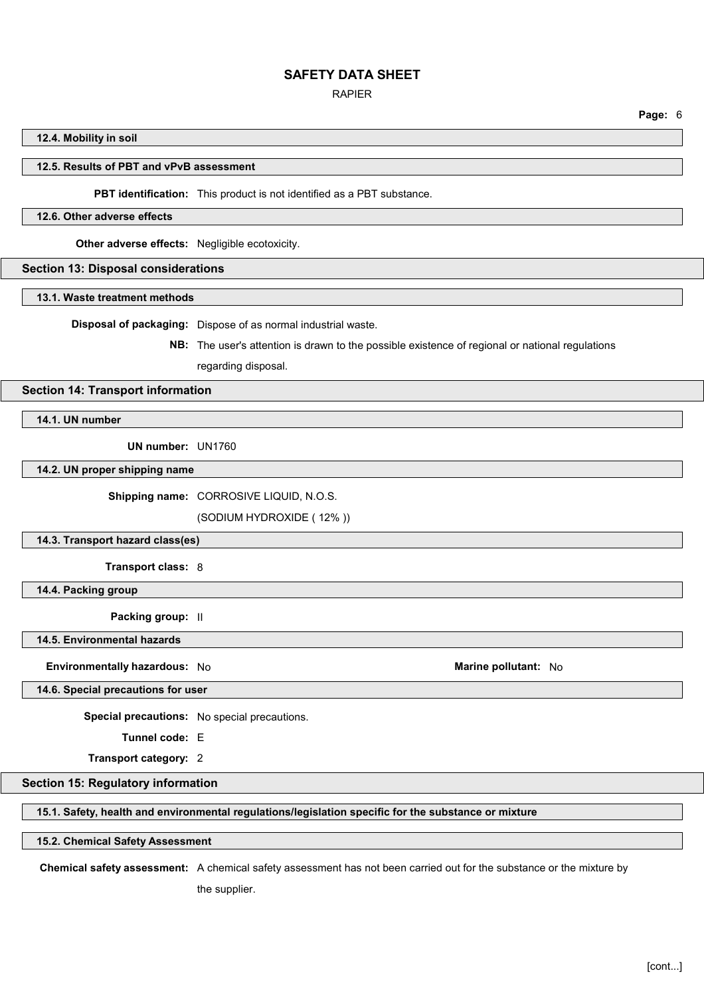#### RAPIER

**Page:** 6

#### **12.4. Mobility in soil**

#### **12.5. Results of PBT and vPvB assessment**

**PBT identification:** This product is not identified as a PBT substance.

#### **12.6. Other adverse effects**

**Other adverse effects:** Negligible ecotoxicity.

## **Section 13: Disposal considerations**

#### **13.1. Waste treatment methods**

**Disposal of packaging:** Dispose of as normal industrial waste.

**NB:** The user's attention is drawn to the possible existence of regional or national regulations regarding disposal.

#### **Section 14: Transport information**

**14.1. UN number**

**UN number:** UN1760

**14.2. UN proper shipping name**

**Shipping name:** CORROSIVE LIQUID, N.O.S.

(SODIUM HYDROXIDE ( 12% ))

#### **14.3. Transport hazard class(es)**

**Transport class:** 8

**14.4. Packing group**

**Packing group:** II

**14.5. Environmental hazards**

**Environmentally hazardous:** No **Marine pollutant:** No **Marine pollutant:** No

**14.6. Special precautions for user**

**Special precautions:** No special precautions.

**Tunnel code:** E

**Transport category:** 2

## **Section 15: Regulatory information**

## **15.1. Safety, health and environmental regulations/legislation specific for the substance or mixture**

#### **15.2. Chemical Safety Assessment**

**Chemical safety assessment:** A chemical safety assessment has not been carried out for the substance or the mixture by

the supplier.